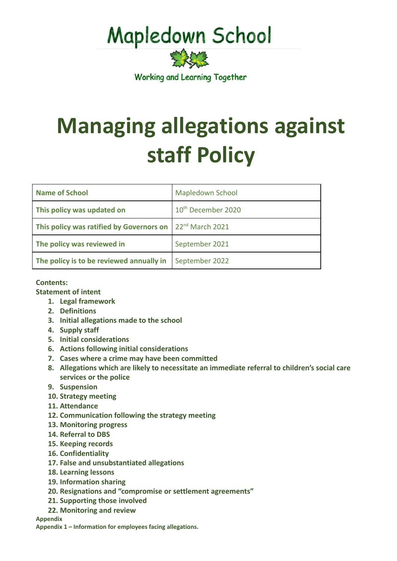

# **Managing allegations against staff Policy**

| <b>Name of School</b>                    | <b>Mapledown School</b>        |
|------------------------------------------|--------------------------------|
| This policy was updated on               | 10 <sup>th</sup> December 2020 |
| This policy was ratified by Governors on | 22 <sup>nd</sup> March 2021    |
| The policy was reviewed in               | September 2021                 |
| The policy is to be reviewed annually in | September 2022                 |

# **Contents:**

**Statement of intent**

- **1. Legal framework**
- **2. Definitions**
- **3. Initial allegations made to the school**
- **4. Supply staff**
- **5. Initial considerations**
- **6. Actions following initial considerations**
- **7. Cases where a crime may have been committed**
- **8. Allegations which are likely to necessitate an immediate referral to children's social care services or the police**
- **9. Suspension**
- **10. Strategy meeting**
- **11. Attendance**
- **12. Communication following the strategy meeting**
- **13. Monitoring progress**
- **14. Referral to DBS**
- **15. Keeping records**
- **16. Confidentiality**
- **17. False and unsubstantiated allegations**
- **18. Learning lessons**
- **19. Information sharing**
- **20. Resignations and "compromise or settlement agreements"**
- **21. Supporting those involved**
- **22. Monitoring and review**

**Appendix**

**Appendix 1 – Information for employees facing allegations.**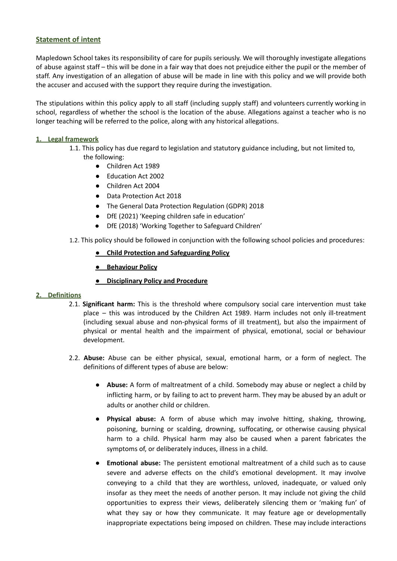# **Statement of intent**

Mapledown School takes its responsibility of care for pupils seriously. We will thoroughly investigate allegations of abuse against staff – this will be done in a fair way that does not prejudice either the pupil or the member of staff. Any investigation of an allegation of abuse will be made in line with this policy and we will provide both the accuser and accused with the support they require during the investigation.

The stipulations within this policy apply to all staff (including supply staff) and volunteers currently working in school, regardless of whether the school is the location of the abuse. Allegations against a teacher who is no longer teaching will be referred to the police, along with any historical allegations.

## **1. Legal framework**

- 1.1. This policy has due regard to legislation and statutory guidance including, but not limited to, the following:
	- Children Act 1989
	- Education Act 2002
	- Children Act 2004
	- Data Protection Act 2018
	- The General Data Protection Regulation (GDPR) 2018
	- DfE (2021) 'Keeping children safe in education'
	- DfE (2018) 'Working Together to Safeguard Children'
- 1.2. This policy should be followed in conjunction with the following school policies and procedures:
	- **● Child Protection and Safeguarding Policy**
	- **● Behaviour Policy**

# **● Disciplinary Policy and Procedure**

#### **2. Definitions**

- 2.1. **Significant harm:** This is the threshold where compulsory social care intervention must take place – this was introduced by the Children Act 1989. Harm includes not only ill-treatment (including sexual abuse and non-physical forms of ill treatment), but also the impairment of physical or mental health and the impairment of physical, emotional, social or behaviour development.
- 2.2. **Abuse:** Abuse can be either physical, sexual, emotional harm, or a form of neglect. The definitions of different types of abuse are below:
	- **Abuse:** A form of maltreatment of a child. Somebody may abuse or neglect a child by inflicting harm, or by failing to act to prevent harm. They may be abused by an adult or adults or another child or children.
	- **Physical abuse:** A form of abuse which may involve hitting, shaking, throwing, poisoning, burning or scalding, drowning, suffocating, or otherwise causing physical harm to a child. Physical harm may also be caused when a parent fabricates the symptoms of, or deliberately induces, illness in a child.
	- **Emotional abuse:** The persistent emotional maltreatment of a child such as to cause severe and adverse effects on the child's emotional development. It may involve conveying to a child that they are worthless, unloved, inadequate, or valued only insofar as they meet the needs of another person. It may include not giving the child opportunities to express their views, deliberately silencing them or 'making fun' of what they say or how they communicate. It may feature age or developmentally inappropriate expectations being imposed on children. These may include interactions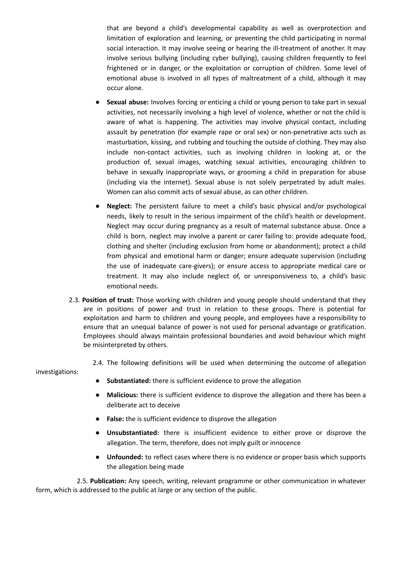that are beyond a child's developmental capability as well as overprotection and limitation of exploration and learning, or preventing the child participating in normal social interaction. It may involve seeing or hearing the ill-treatment of another. It may involve serious bullying (including cyber bullying), causing children frequently to feel frightened or in danger, or the exploitation or corruption of children. Some level of emotional abuse is involved in all types of maltreatment of a child, although it may occur alone.

- **Sexual abuse:** Involves forcing or enticing a child or young person to take part in sexual activities, not necessarily involving a high level of violence, whether or not the child is aware of what is happening. The activities may involve physical contact, including assault by penetration (for example rape or oral sex) or non-penetrative acts such as masturbation, kissing, and rubbing and touching the outside of clothing. They may also include non-contact activities, such as involving children in looking at, or the production of, sexual images, watching sexual activities, encouraging children to behave in sexually inappropriate ways, or grooming a child in preparation for abuse (including via the internet). Sexual abuse is not solely perpetrated by adult males. Women can also commit acts of sexual abuse, as can other children.
- **Neglect:** The persistent failure to meet a child's basic physical and/or psychological needs, likely to result in the serious impairment of the child's health or development. Neglect may occur during pregnancy as a result of maternal substance abuse. Once a child is born, neglect may involve a parent or carer failing to: provide adequate food, clothing and shelter (including exclusion from home or abandonment); protect a child from physical and emotional harm or danger; ensure adequate supervision (including the use of inadequate care-givers); or ensure access to appropriate medical care or treatment. It may also include neglect of, or unresponsiveness to, a child's basic emotional needs.
- 2.3. **Position of trust:** Those working with children and young people should understand that they are in positions of power and trust in relation to these groups. There is potential for exploitation and harm to children and young people, and employees have a responsibility to ensure that an unequal balance of power is not used for personal advantage or gratification. Employees should always maintain professional boundaries and avoid behaviour which might be misinterpreted by others.

2.4. The following definitions will be used when determining the outcome of allegation

investigations:

- **Substantiated:** there is sufficient evidence to prove the allegation
- **Malicious:** there is sufficient evidence to disprove the allegation and there has been a deliberate act to deceive
- **False:** the is sufficient evidence to disprove the allegation
- **Unsubstantiated:** there is insufficient evidence to either prove or disprove the allegation. The term, therefore, does not imply guilt or innocence
- **Unfounded:** to reflect cases where there is no evidence or proper basis which supports the allegation being made

2.5. **Publication:** Any speech, writing, relevant programme or other communication in whatever form, which is addressed to the public at large or any section of the public.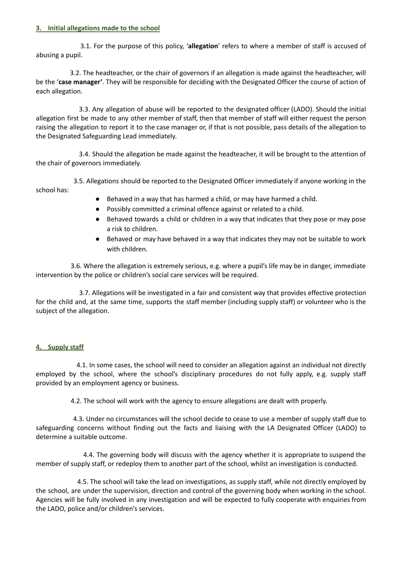## **3. Initial allegations made to the school**

3.1. For the purpose of this policy, '**allegation**' refers to where a member of staff is accused of abusing a pupil.

3.2. The headteacher, or the chair of governors if an allegation is made against the headteacher, will be the '**case manager'**. They will be responsible for deciding with the Designated Officer the course of action of each allegation.

3.3. Any allegation of abuse will be reported to the designated officer (LADO). Should the initial allegation first be made to any other member of staff, then that member of staff will either request the person raising the allegation to report it to the case manager or, if that is not possible, pass details of the allegation to the Designated Safeguarding Lead immediately.

3.4. Should the allegation be made against the headteacher, it will be brought to the attention of the chair of governors immediately.

3.5. Allegations should be reported to the Designated Officer immediately if anyone working in the school has:

- Behaved in a way that has harmed a child, or may have harmed a child.
- Possibly committed a criminal offence against or related to a child.
- Behaved towards a child or children in a way that indicates that they pose or may pose a risk to children.
- Behaved or may have behaved in a way that indicates they may not be suitable to work with children.

3.6. Where the allegation is extremely serious, e.g. where a pupil's life may be in danger, immediate intervention by the police or children's social care services will be required.

3.7. Allegations will be investigated in a fair and consistent way that provides effective protection for the child and, at the same time, supports the staff member (including supply staff) or volunteer who is the subject of the allegation.

# **4. Supply staff**

4.1. In some cases, the school will need to consider an allegation against an individual not directly employed by the school, where the school's disciplinary procedures do not fully apply, e.g. supply staff provided by an employment agency or business.

4.2. The school will work with the agency to ensure allegations are dealt with properly.

4.3. Under no circumstances will the school decide to cease to use a member of supply staff due to safeguarding concerns without finding out the facts and liaising with the LA Designated Officer (LADO) to determine a suitable outcome.

4.4. The governing body will discuss with the agency whether it is appropriate to suspend the member of supply staff, or redeploy them to another part of the school, whilst an investigation is conducted.

4.5. The school will take the lead on investigations, as supply staff, while not directly employed by the school, are under the supervision, direction and control of the governing body when working in the school. Agencies will be fully involved in any investigation and will be expected to fully cooperate with enquiries from the LADO, police and/or children's services.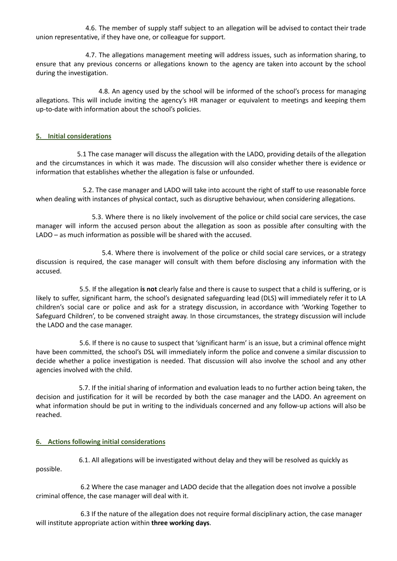4.6. The member of supply staff subject to an allegation will be advised to contact their trade union representative, if they have one, or colleague for support.

4.7. The allegations management meeting will address issues, such as information sharing, to ensure that any previous concerns or allegations known to the agency are taken into account by the school during the investigation.

4.8. An agency used by the school will be informed of the school's process for managing allegations. This will include inviting the agency's HR manager or equivalent to meetings and keeping them up-to-date with information about the school's policies.

## **5. Initial considerations**

5.1 The case manager will discuss the allegation with the LADO, providing details of the allegation and the circumstances in which it was made. The discussion will also consider whether there is evidence or information that establishes whether the allegation is false or unfounded.

5.2. The case manager and LADO will take into account the right of staff to use reasonable force when dealing with instances of physical contact, such as disruptive behaviour, when considering allegations.

5.3. Where there is no likely involvement of the police or child social care services, the case manager will inform the accused person about the allegation as soon as possible after consulting with the LADO – as much information as possible will be shared with the accused.

5.4. Where there is involvement of the police or child social care services, or a strategy discussion is required, the case manager will consult with them before disclosing any information with the accused.

5.5. If the allegation **is not** clearly false and there is cause to suspect that a child is suffering, or is likely to suffer, significant harm, the school's designated safeguarding lead (DLS) will immediately refer it to LA children's social care or police and ask for a strategy discussion, in accordance with 'Working Together to Safeguard Children', to be convened straight away. In those circumstances, the strategy discussion will include the LADO and the case manager.

5.6. If there is no cause to suspect that 'significant harm' is an issue, but a criminal offence might have been committed, the school's DSL will immediately inform the police and convene a similar discussion to decide whether a police investigation is needed. That discussion will also involve the school and any other agencies involved with the child.

5.7. If the initial sharing of information and evaluation leads to no further action being taken, the decision and justification for it will be recorded by both the case manager and the LADO. An agreement on what information should be put in writing to the individuals concerned and any follow-up actions will also be reached.

# **6. Actions following initial considerations**

6.1. All allegations will be investigated without delay and they will be resolved as quickly as possible.

6.2 Where the case manager and LADO decide that the allegation does not involve a possible criminal offence, the case manager will deal with it.

6.3 If the nature of the allegation does not require formal disciplinary action, the case manager will institute appropriate action within **three working days**.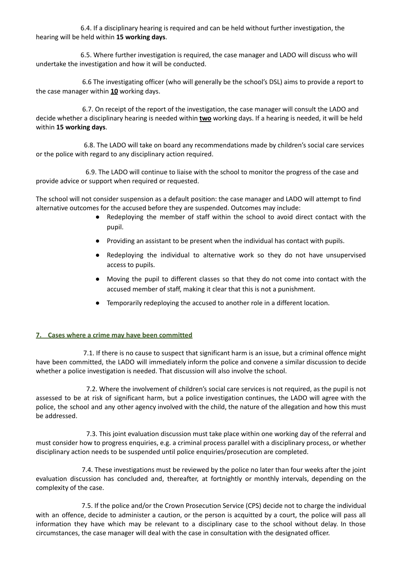6.4. If a disciplinary hearing is required and can be held without further investigation, the hearing will be held within **15 working days**.

6.5. Where further investigation is required, the case manager and LADO will discuss who will undertake the investigation and how it will be conducted.

6.6 The investigating officer (who will generally be the school's DSL) aims to provide a report to the case manager within **10** working days.

6.7. On receipt of the report of the investigation, the case manager will consult the LADO and decide whether a disciplinary hearing is needed within **two** working days. If a hearing is needed, it will be held within **15 working days**.

6.8. The LADO will take on board any recommendations made by children's social care services or the police with regard to any disciplinary action required.

6.9. The LADO will continue to liaise with the school to monitor the progress of the case and provide advice or support when required or requested.

The school will not consider suspension as a default position: the case manager and LADO will attempt to find alternative outcomes for the accused before they are suspended. Outcomes may include:

- Redeploying the member of staff within the school to avoid direct contact with the pupil.
- Providing an assistant to be present when the individual has contact with pupils.
- Redeploying the individual to alternative work so they do not have unsupervised access to pupils.
- Moving the pupil to different classes so that they do not come into contact with the accused member of staff, making it clear that this is not a punishment.
- Temporarily redeploying the accused to another role in a different location.

# **7. Cases where a crime may have been committed**

7.1. If there is no cause to suspect that significant harm is an issue, but a criminal offence might have been committed, the LADO will immediately inform the police and convene a similar discussion to decide whether a police investigation is needed. That discussion will also involve the school.

7.2. Where the involvement of children's social care services is not required, as the pupil is not assessed to be at risk of significant harm, but a police investigation continues, the LADO will agree with the police, the school and any other agency involved with the child, the nature of the allegation and how this must be addressed.

7.3. This joint evaluation discussion must take place within one working day of the referral and must consider how to progress enquiries, e.g. a criminal process parallel with a disciplinary process, or whether disciplinary action needs to be suspended until police enquiries/prosecution are completed.

7.4. These investigations must be reviewed by the police no later than four weeks after the joint evaluation discussion has concluded and, thereafter, at fortnightly or monthly intervals, depending on the complexity of the case.

7.5. If the police and/or the Crown Prosecution Service (CPS) decide not to charge the individual with an offence, decide to administer a caution, or the person is acquitted by a court, the police will pass all information they have which may be relevant to a disciplinary case to the school without delay. In those circumstances, the case manager will deal with the case in consultation with the designated officer.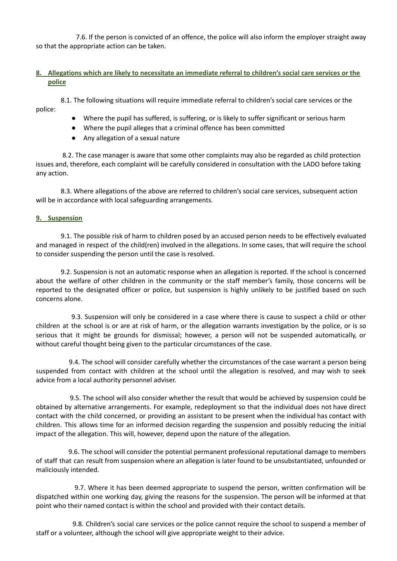7.6. If the person is convicted of an offence, the police will also inform the employer straight away so that the appropriate action can be taken.

## 8. Allegations which are likely to necessitate an immediate referral to children's social care services or the **police**

8.1. The following situations will require immediate referral to children's social care services or the police:

- Where the pupil has suffered, is suffering, or is likely to suffer significant or serious harm
- Where the pupil alleges that a criminal offence has been committed
- Any allegation of a sexual nature

8.2. The case manager is aware that some other complaints may also be regarded as child protection issues and, therefore, each complaint will be carefully considered in consultation with the LADO before taking any action.

8.3. Where allegations of the above are referred to children's social care services, subsequent action will be in accordance with local safeguarding arrangements.

## **9. Suspension**

9.1. The possible risk of harm to children posed by an accused person needs to be effectively evaluated and managed in respect of the child(ren) involved in the allegations. In some cases, that will require the school to consider suspending the person until the case is resolved.

9.2. Suspension is not an automatic response when an allegation is reported. If the school is concerned about the welfare of other children in the community or the staff member's family, those concerns will be reported to the designated officer or police, but suspension is highly unlikely to be justified based on such concerns alone.

9.3. Suspension will only be considered in a case where there is cause to suspect a child or other children at the school is or are at risk of harm, or the allegation warrants investigation by the police, or is so serious that it might be grounds for dismissal; however, a person will not be suspended automatically, or without careful thought being given to the particular circumstances of the case.

9.4. The school will consider carefully whether the circumstances of the case warrant a person being suspended from contact with children at the school until the allegation is resolved, and may wish to seek advice from a local authority personnel adviser.

9.5. The school will also consider whether the result that would be achieved by suspension could be obtained by alternative arrangements. For example, redeployment so that the individual does not have direct contact with the child concerned, or providing an assistant to be present when the individual has contact with children. This allows time for an informed decision regarding the suspension and possibly reducing the initial impact of the allegation. This will, however, depend upon the nature of the allegation.

9.6. The school will consider the potential permanent professional reputational damage to members of staff that can result from suspension where an allegation is later found to be unsubstantiated, unfounded or maliciously intended.

9.7. Where it has been deemed appropriate to suspend the person, written confirmation will be dispatched within one working day, giving the reasons for the suspension. The person will be informed at that point who their named contact is within the school and provided with their contact details.

9.8. Children's social care services or the police cannot require the school to suspend a member of staff or a volunteer, although the school will give appropriate weight to their advice.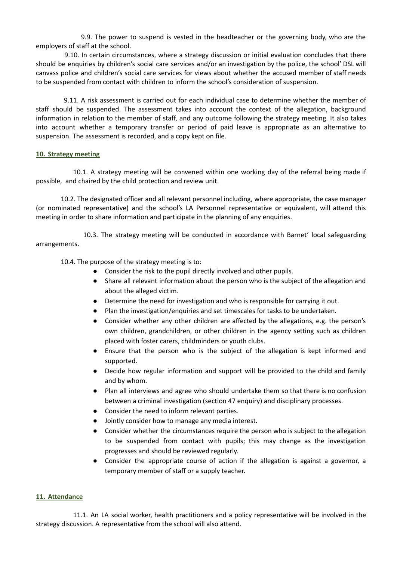9.9. The power to suspend is vested in the headteacher or the governing body, who are the employers of staff at the school.

9.10. In certain circumstances, where a strategy discussion or initial evaluation concludes that there should be enquiries by children's social care services and/or an investigation by the police, the school' DSL will canvass police and children's social care services for views about whether the accused member of staff needs to be suspended from contact with children to inform the school's consideration of suspension.

9.11. A risk assessment is carried out for each individual case to determine whether the member of staff should be suspended. The assessment takes into account the context of the allegation, background information in relation to the member of staff, and any outcome following the strategy meeting. It also takes into account whether a temporary transfer or period of paid leave is appropriate as an alternative to suspension. The assessment is recorded, and a copy kept on file.

#### **10. Strategy meeting**

10.1. A strategy meeting will be convened within one working day of the referral being made if possible, and chaired by the child protection and review unit.

10.2. The designated officer and all relevant personnel including, where appropriate, the case manager (or nominated representative) and the school's LA Personnel representative or equivalent, will attend this meeting in order to share information and participate in the planning of any enquiries.

10.3. The strategy meeting will be conducted in accordance with Barnet' local safeguarding arrangements.

# 10.4. The purpose of the strategy meeting is to:

- Consider the risk to the pupil directly involved and other pupils.
- Share all relevant information about the person who is the subject of the allegation and about the alleged victim.
- Determine the need for investigation and who is responsible for carrying it out.
- Plan the investigation/enquiries and set timescales for tasks to be undertaken.
- Consider whether any other children are affected by the allegations, e.g. the person's own children, grandchildren, or other children in the agency setting such as children placed with foster carers, childminders or youth clubs.
- Ensure that the person who is the subject of the allegation is kept informed and supported.
- Decide how regular information and support will be provided to the child and family and by whom.
- Plan all interviews and agree who should undertake them so that there is no confusion between a criminal investigation (section 47 enquiry) and disciplinary processes.
- Consider the need to inform relevant parties.
- Jointly consider how to manage any media interest.
- Consider whether the circumstances require the person who is subject to the allegation to be suspended from contact with pupils; this may change as the investigation progresses and should be reviewed regularly.
- Consider the appropriate course of action if the allegation is against a governor, a temporary member of staff or a supply teacher.

#### **11. Attendance**

11.1. An LA social worker, health practitioners and a policy representative will be involved in the strategy discussion. A representative from the school will also attend.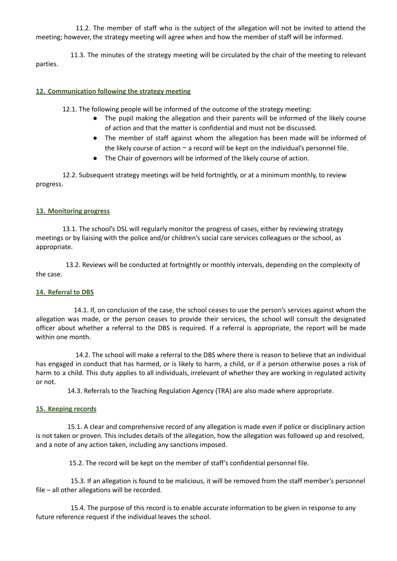11.2. The member of staff who is the subject of the allegation will not be invited to attend the meeting; however, the strategy meeting will agree when and how the member of staff will be informed.

11.3. The minutes of the strategy meeting will be circulated by the chair of the meeting to relevant parties.

#### **12. Communication following the strategy meeting**

12.1. The following people will be informed of the outcome of the strategy meeting:

- The pupil making the allegation and their parents will be informed of the likely course of action and that the matter is confidential and must not be discussed.
- The member of staff against whom the allegation has been made will be informed of the likely course of action − a record will be kept on the individual's personnel file.
- The Chair of governors will be informed of the likely course of action.

12.2. Subsequent strategy meetings will be held fortnightly, or at a minimum monthly, to review progress.

## **13. Monitoring progress**

13.1. The school's DSL will regularly monitor the progress of cases, either by reviewing strategy meetings or by liaising with the police and/or children's social care services colleagues or the school, as appropriate.

13.2. Reviews will be conducted at fortnightly or monthly intervals, depending on the complexity of the case.

#### **14. Referral to DBS**

14.1. If, on conclusion of the case, the school ceases to use the person's services against whom the allegation was made, or the person ceases to provide their services, the school will consult the designated officer about whether a referral to the DBS is required. If a referral is appropriate, the report will be made within one month.

14.2. The school will make a referral to the DBS where there is reason to believe that an individual has engaged in conduct that has harmed, or is likely to harm, a child, or if a person otherwise poses a risk of harm to a child. This duty applies to all individuals, irrelevant of whether they are working in regulated activity or not.

14.3. Referrals to the Teaching Regulation Agency (TRA) are also made where appropriate.

#### **15. Keeping records**

15.1. A clear and comprehensive record of any allegation is made even if police or disciplinary action is not taken or proven. This includes details of the allegation, how the allegation was followed up and resolved, and a note of any action taken, including any sanctions imposed.

15.2. The record will be kept on the member of staff's confidential personnel file.

15.3. If an allegation is found to be malicious, it will be removed from the staff member's personnel file – all other allegations will be recorded.

15.4. The purpose of this record is to enable accurate information to be given in response to any future reference request if the individual leaves the school.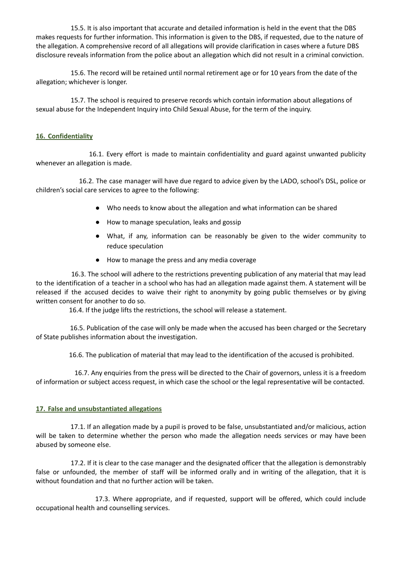15.5. It is also important that accurate and detailed information is held in the event that the DBS makes requests for further information. This information is given to the DBS, if requested, due to the nature of the allegation. A comprehensive record of all allegations will provide clarification in cases where a future DBS disclosure reveals information from the police about an allegation which did not result in a criminal conviction.

15.6. The record will be retained until normal retirement age or for 10 years from the date of the allegation; whichever is longer.

15.7. The school is required to preserve records which contain information about allegations of sexual abuse for the Independent Inquiry into Child Sexual Abuse, for the term of the inquiry.

## **16. Confidentiality**

16.1. Every effort is made to maintain confidentiality and guard against unwanted publicity whenever an allegation is made.

16.2. The case manager will have due regard to advice given by the LADO, school's DSL, police or children's social care services to agree to the following:

- Who needs to know about the allegation and what information can be shared
- How to manage speculation, leaks and gossip
- What, if any, information can be reasonably be given to the wider community to reduce speculation
- How to manage the press and any media coverage

16.3. The school will adhere to the restrictions preventing publication of any material that may lead to the identification of a teacher in a school who has had an allegation made against them. A statement will be released if the accused decides to waive their right to anonymity by going public themselves or by giving written consent for another to do so.

16.4. If the judge lifts the restrictions, the school will release a statement.

16.5. Publication of the case will only be made when the accused has been charged or the Secretary of State publishes information about the investigation.

16.6. The publication of material that may lead to the identification of the accused is prohibited.

16.7. Any enquiries from the press will be directed to the Chair of governors, unless it is a freedom of information or subject access request, in which case the school or the legal representative will be contacted.

#### **17. False and unsubstantiated allegations**

17.1. If an allegation made by a pupil is proved to be false, unsubstantiated and/or malicious, action will be taken to determine whether the person who made the allegation needs services or may have been abused by someone else.

17.2. If it is clear to the case manager and the designated officer that the allegation is demonstrably false or unfounded, the member of staff will be informed orally and in writing of the allegation, that it is without foundation and that no further action will be taken.

17.3. Where appropriate, and if requested, support will be offered, which could include occupational health and counselling services.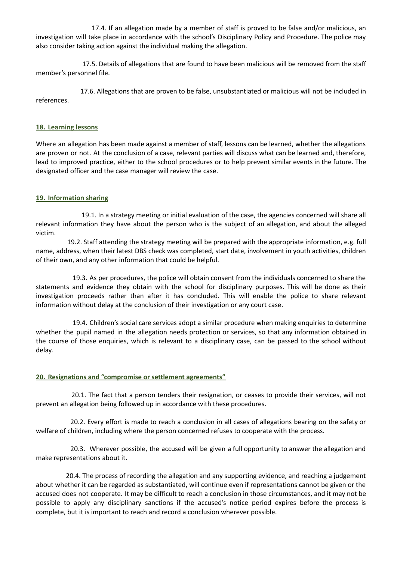17.4. If an allegation made by a member of staff is proved to be false and/or malicious, an investigation will take place in accordance with the school's Disciplinary Policy and Procedure. The police may also consider taking action against the individual making the allegation.

17.5. Details of allegations that are found to have been malicious will be removed from the staff member's personnel file.

17.6. Allegations that are proven to be false, unsubstantiated or malicious will not be included in references.

#### **18. Learning lessons**

Where an allegation has been made against a member of staff, lessons can be learned, whether the allegations are proven or not. At the conclusion of a case, relevant parties will discuss what can be learned and, therefore, lead to improved practice, either to the school procedures or to help prevent similar events in the future. The designated officer and the case manager will review the case.

#### **19. Information sharing**

19.1. In a strategy meeting or initial evaluation of the case, the agencies concerned will share all relevant information they have about the person who is the subject of an allegation, and about the alleged victim.

19.2. Staff attending the strategy meeting will be prepared with the appropriate information, e.g. full name, address, when their latest DBS check was completed, start date, involvement in youth activities, children of their own, and any other information that could be helpful.

19.3. As per procedures, the police will obtain consent from the individuals concerned to share the statements and evidence they obtain with the school for disciplinary purposes. This will be done as their investigation proceeds rather than after it has concluded. This will enable the police to share relevant information without delay at the conclusion of their investigation or any court case.

19.4. Children's social care services adopt a similar procedure when making enquiries to determine whether the pupil named in the allegation needs protection or services, so that any information obtained in the course of those enquiries, which is relevant to a disciplinary case, can be passed to the school without delay.

#### **20. Resignations and "compromise or settlement agreements"**

20.1. The fact that a person tenders their resignation, or ceases to provide their services, will not prevent an allegation being followed up in accordance with these procedures.

20.2. Every effort is made to reach a conclusion in all cases of allegations bearing on the safety or welfare of children, including where the person concerned refuses to cooperate with the process.

20.3. Wherever possible, the accused will be given a full opportunity to answer the allegation and make representations about it.

20.4. The process of recording the allegation and any supporting evidence, and reaching a judgement about whether it can be regarded as substantiated, will continue even if representations cannot be given or the accused does not cooperate. It may be difficult to reach a conclusion in those circumstances, and it may not be possible to apply any disciplinary sanctions if the accused's notice period expires before the process is complete, but it is important to reach and record a conclusion wherever possible.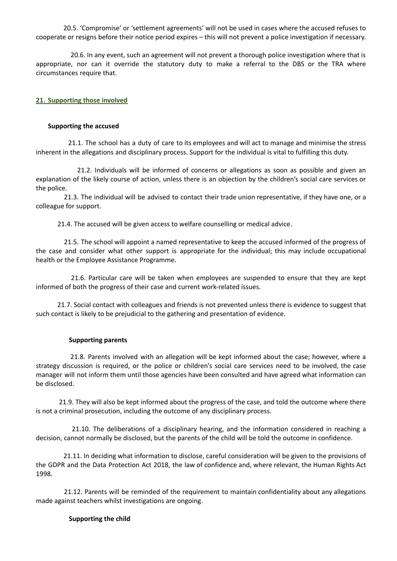20.5. 'Compromise' or 'settlement agreements' will not be used in cases where the accused refuses to cooperate or resigns before their notice period expires – this will not prevent a police investigation if necessary.

20.6. In any event, such an agreement will not prevent a thorough police investigation where that is appropriate, nor can it override the statutory duty to make a referral to the DBS or the TRA where circumstances require that.

## **21. Supporting those involved**

#### **Supporting the accused**

21.1. The school has a duty of care to its employees and will act to manage and minimise the stress inherent in the allegations and disciplinary process. Support for the individual is vital to fulfilling this duty.

21.2. Individuals will be informed of concerns or allegations as soon as possible and given an explanation of the likely course of action, unless there is an objection by the children's social care services or the police.

21.3. The individual will be advised to contact their trade union representative, if they have one, or a colleague for support.

21.4. The accused will be given access to welfare counselling or medical advice.

21.5. The school will appoint a named representative to keep the accused informed of the progress of the case and consider what other support is appropriate for the individual; this may include occupational health or the Employee Assistance Programme.

21.6. Particular care will be taken when employees are suspended to ensure that they are kept informed of both the progress of their case and current work-related issues.

21.7. Social contact with colleagues and friends is not prevented unless there is evidence to suggest that such contact is likely to be prejudicial to the gathering and presentation of evidence.

#### **Supporting parents**

21.8. Parents involved with an allegation will be kept informed about the case; however, where a strategy discussion is required, or the police or children's social care services need to be involved, the case manager will not inform them until those agencies have been consulted and have agreed what information can be disclosed.

21.9. They will also be kept informed about the progress of the case, and told the outcome where there is not a criminal prosecution, including the outcome of any disciplinary process.

21.10. The deliberations of a disciplinary hearing, and the information considered in reaching a decision, cannot normally be disclosed, but the parents of the child will be told the outcome in confidence.

21.11. In deciding what information to disclose, careful consideration will be given to the provisions of the GDPR and the Data Protection Act 2018, the law of confidence and, where relevant, the Human Rights Act 1998.

21.12. Parents will be reminded of the requirement to maintain confidentiality about any allegations made against teachers whilst investigations are ongoing.

#### **Supporting the child**